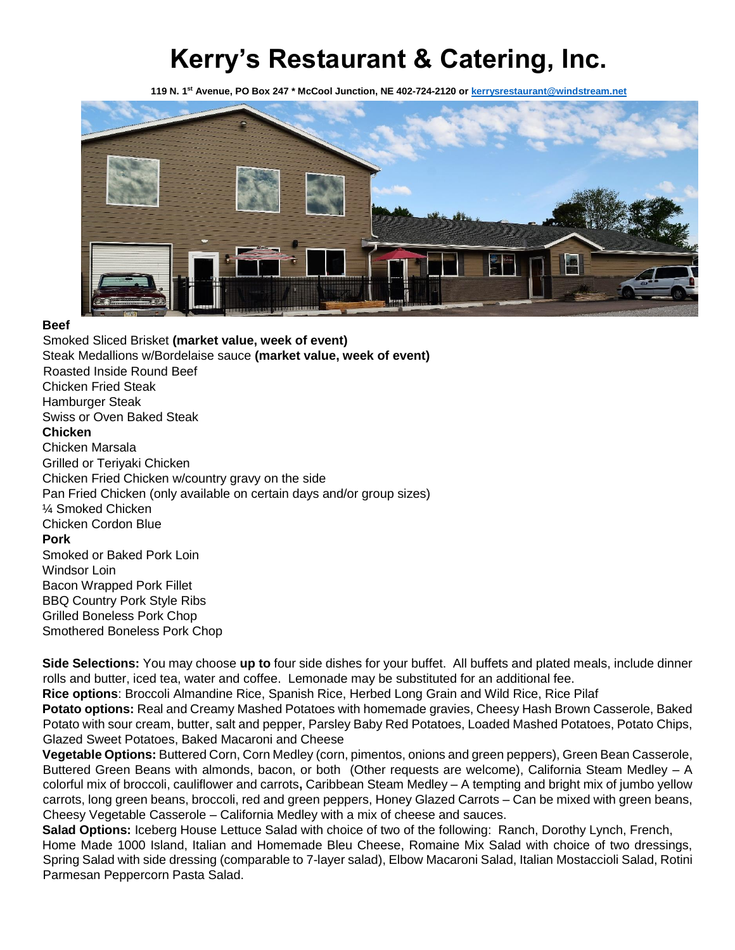# **Kerry's Restaurant & Catering, Inc.**

**119 N. 1st Avenue, PO Box 247 \* McCool Junction, NE 402-724-2120 o[r kerrysrestaurant@windstream.net](mailto:kerrysrestaurant@windstream.net)**



#### **Beef**

Smoked Sliced Brisket **(market value, week of event)** Steak Medallions w/Bordelaise sauce **(market value, week of event)** Roasted Inside Round Beef Chicken Fried Steak Hamburger Steak Swiss or Oven Baked Steak **Chicken**  Chicken Marsala Grilled or Teriyaki Chicken Chicken Fried Chicken w/country gravy on the side Pan Fried Chicken (only available on certain days and/or group sizes) ¼ Smoked Chicken Chicken Cordon Blue **Pork** Smoked or Baked Pork Loin Windsor Loin Bacon Wrapped Pork Fillet BBQ Country Pork Style Ribs Grilled Boneless Pork Chop Smothered Boneless Pork Chop

**Side Selections:** You may choose **up to** four side dishes for your buffet. All buffets and plated meals, include dinner rolls and butter, iced tea, water and coffee. Lemonade may be substituted for an additional fee.

**Rice options**: Broccoli Almandine Rice, Spanish Rice, Herbed Long Grain and Wild Rice, Rice Pilaf

**Potato options:** Real and Creamy Mashed Potatoes with homemade gravies, Cheesy Hash Brown Casserole, Baked Potato with sour cream, butter, salt and pepper, Parsley Baby Red Potatoes, Loaded Mashed Potatoes, Potato Chips, Glazed Sweet Potatoes, Baked Macaroni and Cheese

**Vegetable Options:** Buttered Corn, Corn Medley (corn, pimentos, onions and green peppers), Green Bean Casserole, Buttered Green Beans with almonds, bacon, or both (Other requests are welcome), California Steam Medley – A colorful mix of broccoli, cauliflower and carrots**,** Caribbean Steam Medley – A tempting and bright mix of jumbo yellow carrots, long green beans, broccoli, red and green peppers, Honey Glazed Carrots – Can be mixed with green beans, Cheesy Vegetable Casserole – California Medley with a mix of cheese and sauces.

**Salad Options:** Iceberg House Lettuce Salad with choice of two of the following: Ranch, Dorothy Lynch, French, Home Made 1000 Island, Italian and Homemade Bleu Cheese, Romaine Mix Salad with choice of two dressings, Spring Salad with side dressing (comparable to 7-layer salad), Elbow Macaroni Salad, Italian Mostaccioli Salad, Rotini Parmesan Peppercorn Pasta Salad.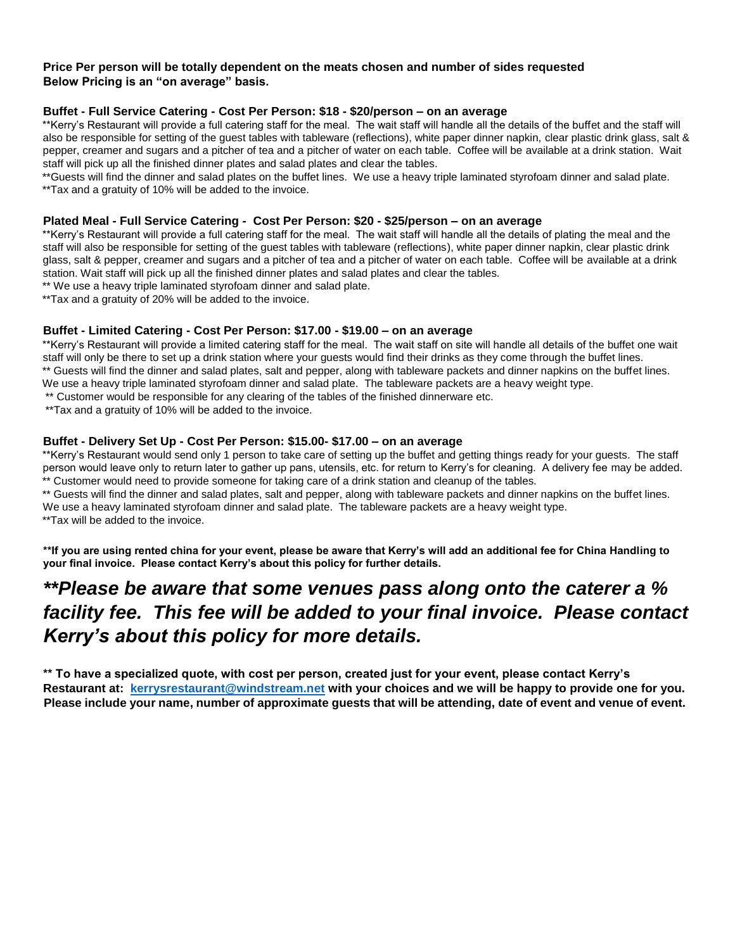#### **Price Per person will be totally dependent on the meats chosen and number of sides requested Below Pricing is an "on average" basis.**

#### **Buffet - Full Service Catering - Cost Per Person: \$18 - \$20/person – on an average**

\*\*Kerry's Restaurant will provide a full catering staff for the meal. The wait staff will handle all the details of the buffet and the staff will also be responsible for setting of the guest tables with tableware (reflections), white paper dinner napkin, clear plastic drink glass, salt & pepper, creamer and sugars and a pitcher of tea and a pitcher of water on each table. Coffee will be available at a drink station. Wait staff will pick up all the finished dinner plates and salad plates and clear the tables.

\*\*Guests will find the dinner and salad plates on the buffet lines. We use a heavy triple laminated styrofoam dinner and salad plate. \*\*Tax and a gratuity of 10% will be added to the invoice.

#### **Plated Meal - Full Service Catering - Cost Per Person: \$20 - \$25/person – on an average**

\*\*Kerry's Restaurant will provide a full catering staff for the meal. The wait staff will handle all the details of plating the meal and the staff will also be responsible for setting of the guest tables with tableware (reflections), white paper dinner napkin, clear plastic drink glass, salt & pepper, creamer and sugars and a pitcher of tea and a pitcher of water on each table. Coffee will be available at a drink station. Wait staff will pick up all the finished dinner plates and salad plates and clear the tables.

\*\* We use a heavy triple laminated styrofoam dinner and salad plate.

\*\*Tax and a gratuity of 20% will be added to the invoice.

#### **Buffet - Limited Catering - Cost Per Person: \$17.00 - \$19.00 – on an average**

\*\*Kerry's Restaurant will provide a limited catering staff for the meal. The wait staff on site will handle all details of the buffet one wait staff will only be there to set up a drink station where your guests would find their drinks as they come through the buffet lines. \*\* Guests will find the dinner and salad plates, salt and pepper, along with tableware packets and dinner napkins on the buffet lines. We use a heavy triple laminated styrofoam dinner and salad plate. The tableware packets are a heavy weight type.

\*\* Customer would be responsible for any clearing of the tables of the finished dinnerware etc.

\*\*Tax and a gratuity of 10% will be added to the invoice.

#### **Buffet - Delivery Set Up - Cost Per Person: \$15.00- \$17.00 – on an average**

\*\*Kerry's Restaurant would send only 1 person to take care of setting up the buffet and getting things ready for your guests. The staff person would leave only to return later to gather up pans, utensils, etc. for return to Kerry's for cleaning. A delivery fee may be added. \*\* Customer would need to provide someone for taking care of a drink station and cleanup of the tables.

\*\* Guests will find the dinner and salad plates, salt and pepper, along with tableware packets and dinner napkins on the buffet lines. We use a heavy laminated styrofoam dinner and salad plate. The tableware packets are a heavy weight type.

\*\*Tax will be added to the invoice.

**\*\*If you are using rented china for your event, please be aware that Kerry's will add an additional fee for China Handling to your final invoice. Please contact Kerry's about this policy for further details.** 

# *\*\*Please be aware that some venues pass along onto the caterer a % facility fee. This fee will be added to your final invoice. Please contact Kerry's about this policy for more details.*

**\*\* To have a specialized quote, with cost per person, created just for your event, please contact Kerry's Restaurant at: kerrysrestaurant@windstream.net with your choices and we will be happy to provide one for you. Please include your name, number of approximate guests that will be attending, date of event and venue of event.**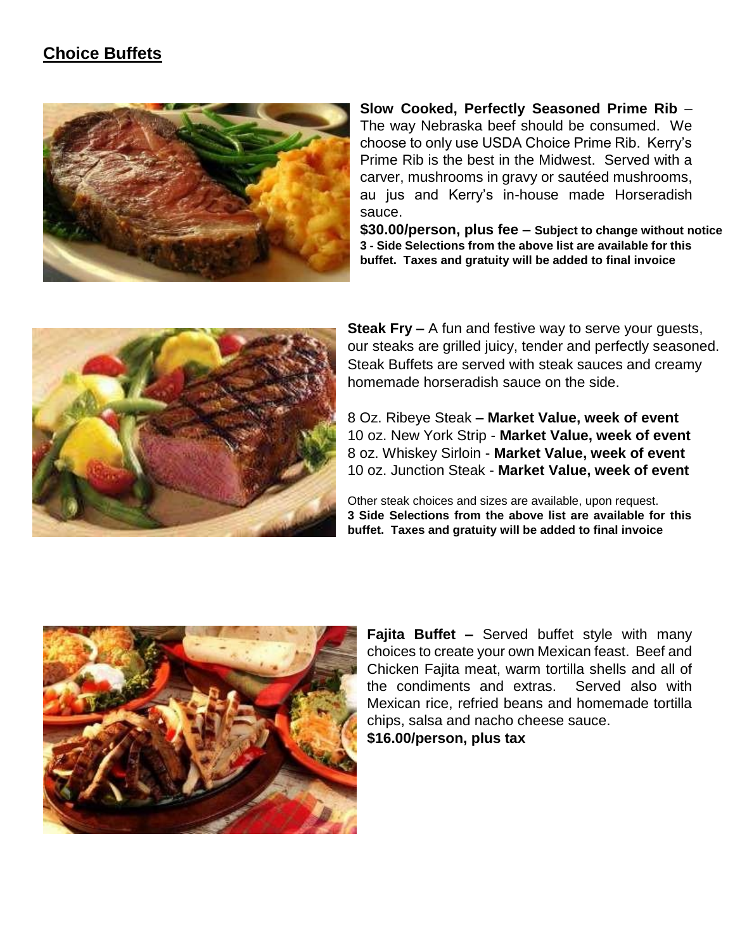### **Choice Buffets**



**Slow Cooked, Perfectly Seasoned Prime Rib** – The way Nebraska beef should be consumed. We choose to only use USDA Choice Prime Rib. Kerry's Prime Rib is the best in the Midwest. Served with a carver, mushrooms in gravy or sautéed mushrooms, au jus and Kerry's in-house made Horseradish sauce.

**\$30.00/person, plus fee – Subject to change without notice 3 - Side Selections from the above list are available for this buffet. Taxes and gratuity will be added to final invoice**



**Steak Fry –** A fun and festive way to serve your guests, our steaks are grilled juicy, tender and perfectly seasoned. Steak Buffets are served with steak sauces and creamy homemade horseradish sauce on the side.

8 Oz. Ribeye Steak **– Market Value, week of event** 10 oz. New York Strip - **Market Value, week of event** 8 oz. Whiskey Sirloin - **Market Value, week of event** 10 oz. Junction Steak - **Market Value, week of event**

Other steak choices and sizes are available, upon request. **3 Side Selections from the above list are available for this buffet. Taxes and gratuity will be added to final invoice**



**Fajita Buffet –** Served buffet style with many choices to create your own Mexican feast. Beef and Chicken Fajita meat, warm tortilla shells and all of the condiments and extras. Served also with Mexican rice, refried beans and homemade tortilla chips, salsa and nacho cheese sauce.

**\$16.00/person, plus tax**